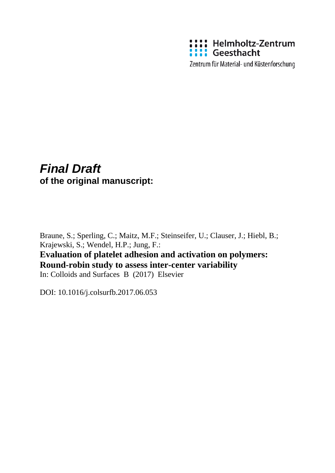

Zentrum für Material- und Küstenforschung

# *Final Draft*  **of the original manuscript:**

Braune, S.; Sperling, C.; Maitz, M.F.; Steinseifer, U.; Clauser, J.; Hiebl, B.; Krajewski, S.; Wendel, H.P.; Jung, F.: **Evaluation of platelet adhesion and activation on polymers:** 

**Round-robin study to assess inter-center variability** In: Colloids and Surfaces B (2017) Elsevier

DOI: 10.1016/j.colsurfb.2017.06.053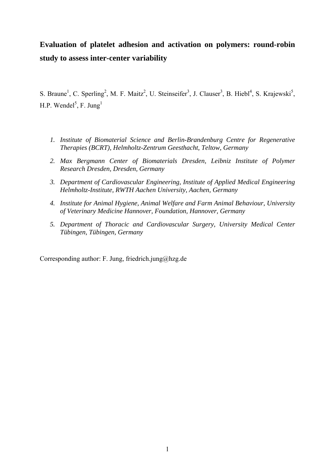## **Evaluation of platelet adhesion and activation on polymers: round-robin study to assess inter-center variability**

S. Braune<sup>1</sup>, C. Sperling<sup>2</sup>, M. F. Maitz<sup>2</sup>, U. Steinseifer<sup>3</sup>, J. Clauser<sup>3</sup>, B. Hiebl<sup>4</sup>, S. Krajewski<sup>5</sup>, H.P. Wendel<sup>5</sup>, F. Jung<sup>1</sup>

- *1. Institute of Biomaterial Science and Berlin-Brandenburg Centre for Regenerative Therapies (BCRT), Helmholtz-Zentrum Geesthacht, Teltow, Germany*
- *2. Max Bergmann Center of Biomaterials Dresden, Leibniz Institute of Polymer Research Dresden, Dresden, Germany*
- *3. Department of Cardiovascular Engineering, Institute of Applied Medical Engineering Helmholtz-Institute, RWTH Aachen University, Aachen, Germany*
- *4. Institute for Animal Hygiene, Animal Welfare and Farm Animal Behaviour, University of Veterinary Medicine Hannover, Foundation, Hannover, Germany*
- *5. Department of Thoracic and Cardiovascular Surgery, University Medical Center Tübingen, Tübingen, Germany*

Corresponding author: F. Jung, friedrich.jung@hzg.de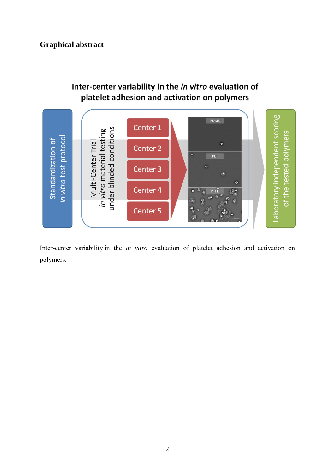## **Graphical abstract**

## Inter-center variability in the in vitro evaluation of platelet adhesion and activation on polymers



Inter-center variability in the *in vitro* evaluation of platelet adhesion and activation on polymers.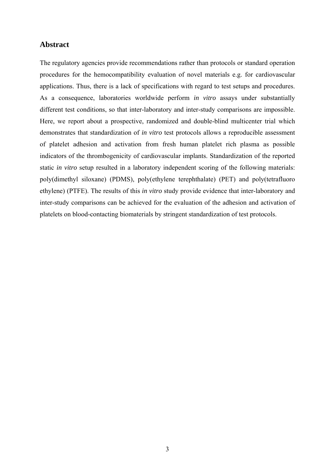## **Abstract**

The regulatory agencies provide recommendations rather than protocols or standard operation procedures for the hemocompatibility evaluation of novel materials e.g. for cardiovascular applications. Thus, there is a lack of specifications with regard to test setups and procedures. As a consequence, laboratories worldwide perform *in vitro* assays under substantially different test conditions, so that inter-laboratory and inter-study comparisons are impossible. Here, we report about a prospective, randomized and double-blind multicenter trial which demonstrates that standardization of *in vitro* test protocols allows a reproducible assessment of platelet adhesion and activation from fresh human platelet rich plasma as possible indicators of the thrombogenicity of cardiovascular implants. Standardization of the reported static *in vitro* setup resulted in a laboratory independent scoring of the following materials: poly(dimethyl siloxane) (PDMS), poly(ethylene terephthalate) (PET) and poly(tetrafluoro ethylene) (PTFE). The results of this *in vitro* study provide evidence that inter-laboratory and inter-study comparisons can be achieved for the evaluation of the adhesion and activation of platelets on blood-contacting biomaterials by stringent standardization of test protocols.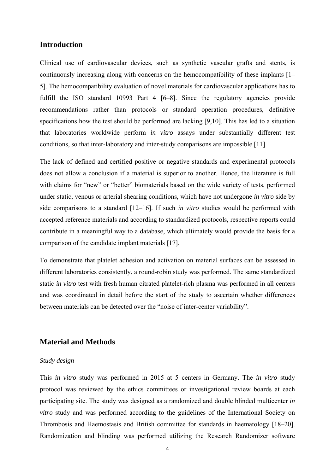### **Introduction**

Clinical use of cardiovascular devices, such as synthetic vascular grafts and stents, is continuously increasing along with concerns on the hemocompatibility of these implants [1– 5]. The hemocompatibility evaluation of novel materials for cardiovascular applications has to fulfill the ISO standard 10993 Part 4 [6–8]. Since the regulatory agencies provide recommendations rather than protocols or standard operation procedures, definitive specifications how the test should be performed are lacking [9,10]. This has led to a situation that laboratories worldwide perform *in vitro* assays under substantially different test conditions, so that inter-laboratory and inter-study comparisons are impossible [11].

The lack of defined and certified positive or negative standards and experimental protocols does not allow a conclusion if a material is superior to another. Hence, the literature is full with claims for "new" or "better" biomaterials based on the wide variety of tests, performed under static, venous or arterial shearing conditions, which have not undergone *in vitro* side by side comparisons to a standard [12–16]. If such *in vitro* studies would be performed with accepted reference materials and according to standardized protocols, respective reports could contribute in a meaningful way to a database, which ultimately would provide the basis for a comparison of the candidate implant materials [17].

To demonstrate that platelet adhesion and activation on material surfaces can be assessed in different laboratories consistently, a round-robin study was performed. The same standardized static *in vitro* test with fresh human citrated platelet-rich plasma was performed in all centers and was coordinated in detail before the start of the study to ascertain whether differences between materials can be detected over the "noise of inter-center variability".

#### **Material and Methods**

#### *Study design*

This *in vitro* study was performed in 2015 at 5 centers in Germany. The *in vitro* study protocol was reviewed by the ethics committees or investigational review boards at each participating site. The study was designed as a randomized and double blinded multicenter *in vitro* study and was performed according to the guidelines of the International Society on Thrombosis and Haemostasis and British committee for standards in haematology [18–20]. Randomization and blinding was performed utilizing the Research Randomizer software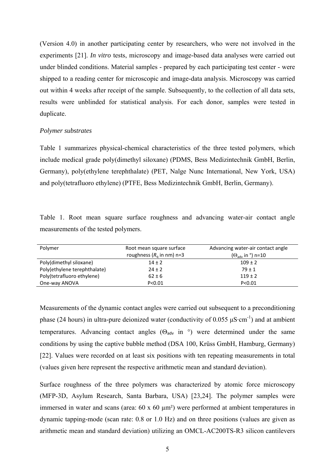(Version 4.0) in another participating center by researchers, who were not involved in the experiments [21]. *In vitro* tests, microscopy and image-based data analyses were carried out under blinded conditions. Material samples - prepared by each participating test center - were shipped to a reading center for microscopic and image-data analysis. Microscopy was carried out within 4 weeks after receipt of the sample. Subsequently, to the collection of all data sets, results were unblinded for statistical analysis. For each donor, samples were tested in duplicate.

#### *Polymer substrates*

Table 1 summarizes physical-chemical characteristics of the three tested polymers, which include medical grade poly(dimethyl siloxane) (PDMS, Bess Medizintechnik GmbH, Berlin, Germany), poly(ethylene terephthalate) (PET, Nalge Nunc International, New York, USA) and poly(tetrafluoro ethylene) (PTFE, Bess Medizintechnik GmbH, Berlin, Germany).

Table 1. Root mean square surface roughness and advancing water-air contact angle measurements of the tested polymers.

| Polymer                      | Root mean square surface            | Advancing water-air contact angle          |  |  |
|------------------------------|-------------------------------------|--------------------------------------------|--|--|
|                              | roughness $(R_0 \text{ in nm})$ n=3 | $(\Theta_{\text{adv}}$ in $\degree$ ) n=10 |  |  |
| Poly(dimethyl siloxane)      | $14 \pm 2$                          | $109 \pm 2$                                |  |  |
| Poly(ethylene terephthalate) | $24 \pm 2$                          | $79 + 1$                                   |  |  |
| Poly(tetrafluoro ethylene)   | $62 \pm 6$                          | $119 \pm 2$                                |  |  |
| One-way ANOVA                | P < 0.01                            | P < 0.01                                   |  |  |

Measurements of the dynamic contact angles were carried out subsequent to a preconditioning phase (24 hours) in ultra-pure deionized water (conductivity of 0.055  $\mu$ S·cm<sup>-1</sup>) and at ambient temperatures. Advancing contact angles ( $\Theta_{adv}$  in  $\degree$ ) were determined under the same conditions by using the captive bubble method (DSA 100, Krüss GmbH, Hamburg, Germany) [22]. Values were recorded on at least six positions with ten repeating measurements in total (values given here represent the respective arithmetic mean and standard deviation).

Surface roughness of the three polymers was characterized by atomic force microscopy (MFP-3D, Asylum Research, Santa Barbara, USA) [23,24]. The polymer samples were immersed in water and scans (area: 60 x 60  $\mu$ m<sup>2</sup>) were performed at ambient temperatures in dynamic tapping-mode (scan rate: 0.8 or 1.0 Hz) and on three positions (values are given as arithmetic mean and standard deviation) utilizing an OMCL-AC200TS-R3 silicon cantilevers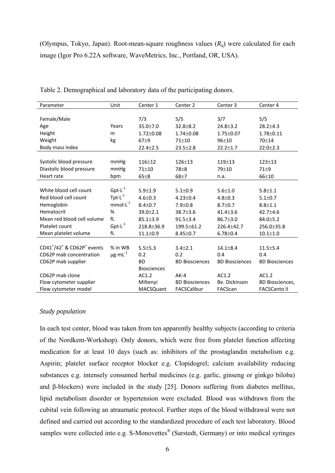(Olympus, Tokyo, Japan). Root-mean-square roughness values  $(R<sub>a</sub>)$  were calculated for each image (Igor Pro 6.22A software, WaveMetrics, Inc., Portland, OR, USA).

| Parameter                                     | Unit                     | Center 1           | Center <sub>2</sub>   | Center <sub>3</sub>   | Center 4               |
|-----------------------------------------------|--------------------------|--------------------|-----------------------|-----------------------|------------------------|
|                                               |                          |                    |                       |                       |                        |
| Female/Male                                   |                          | 7/3                | 5/5                   | 3/7                   | 5/5                    |
| Age                                           | Years                    | 35.0±7.0           | $32.8 + 8.2$          | $24.8 \pm 3.2$        | $28.2 \pm 4.3$         |
| Height                                        | m                        | $1.72 \pm 0.08$    | $1.74 \pm 0.08$       | $1.75 \pm 0.07$       | $1.78 \pm 0.11$        |
| Weight                                        | kg                       | $67\pm9$           | $71 + 10$             | $96 + 10$             | 70±14                  |
| Body mass index                               |                          | $22.4 \pm 2.5$     | $23.5 \pm 2.8$        | $22.2 \pm 1.7$        | $22.0 \pm 2.3$         |
|                                               |                          |                    |                       |                       |                        |
| Systolic blood pressure                       | mmHg                     | $116 + 12$         | $126 + 13$            | $119 + 13$            | $123 + 13$             |
| Diastolic blood pressure                      | mmHg                     | $71 + 10$          | $78\pm8$              | $79 + 10$             | $71\pm9$               |
| Heart rate                                    | bpm                      | $65\pm8$           | $68 + 7$              | n.a.                  | $66 + 10$              |
|                                               |                          |                    |                       |                       |                        |
| White blood cell count                        | $Gpt \cdot L^{-1}$       | $5.9 + 1.9$        | $5.1 \pm 0.9$         | $5.6 \pm 1.0$         | $5.8 + 1.1$            |
| Red blood cell count                          | Tpt $\cdot L^{-1}$       | $4.6 \pm 0.3$      | $4.23 \pm 0.4$        | $4.8 \pm 0.3$         | $5.1 \pm 0.7$          |
| Hemoglobin                                    | $mmol·L^{-1}$            | $8.4 + 0.7$        | $7.9 + 0.8$           | $8.7 \pm 0.7$         | $8.8 \pm 1.1$          |
| Hematocrit                                    | %                        | $39.0 \pm 2.1$     | $38.7 \pm 3.6$        | $41.4 \pm 3.6$        | $42.7 + 4.6$           |
| Mean red blood cell volume                    | fL                       | $85.1 \pm 3.9$     | $91.5 + 3.4$          | $86.7 \pm 3.0$        | 84.0±5.2               |
| Platelet count                                | $Gpt \cdot L^{-1}$       | 218.8±36.9         | 199.5±61.2            | 226.4+42.7            | 256.0±35.8             |
| Mean platelet volume                          | fL                       | $11.1 \pm 0.9$     | $8.45 \pm 0.7$        | $6.78 \pm 0.4$        | $10.1 \pm 1.0$         |
|                                               |                          |                    |                       |                       |                        |
| $CD41^{+}/42^{+}$ & CD62P <sup>+</sup> events | % in WB                  | $5.5 \pm 5.3$      | $3.4 \pm 2.1$         | $14.1 \pm 8.4$        | $11.5 \pm 5.4$         |
| CD62P mab concentration                       | $\mu$ g·mL <sup>-1</sup> | 0.2                | 0.2                   | 0.4                   | 0.4                    |
| CD62P mab supplier                            |                          | <b>BD</b>          | <b>BD Biosciences</b> | <b>BD Biosciences</b> | <b>BD Biosciences</b>  |
|                                               |                          | <b>Biosciences</b> |                       |                       |                        |
| CD62P mab clone                               |                          | AC1.2              | $AK-4$                | AC1.2                 | AC1.2                  |
| Flow cytometer supplier                       |                          | Miltenyi           | <b>BD Biosciences</b> | Be. Dickinson         | <b>BD Biosciences,</b> |
| Flow cytometer model                          |                          | <b>MACSQuant</b>   | FACSCalibur           | FACScan               | <b>FACSCanto II</b>    |

Table 2. Demographical and laboratory data of the participating donors.

#### *Study population*

In each test center, blood was taken from ten apparently healthy subjects (according to criteria of the Nordkem-Workshop). Only donors, which were free from platelet function affecting medication for at least 10 days (such as: inhibitors of the prostaglandin metabolism e.g. Aspirin; platelet surface receptor blocker e.g. Clopidogrel; calcium availability reducing substances e.g. intensely consumed herbal medicines (e.g. garlic, ginseng or ginkgo biloba) and β-blockers) were included in the study [25]. Donors suffering from diabetes mellitus, lipid metabolism disorder or hypertension were excluded. Blood was withdrawn from the cubital vein following an atraumatic protocol. Further steps of the blood withdrawal were not defined and carried out according to the standardized procedure of each test laboratory. Blood samples were collected into e.g. S-Monovettes<sup>®</sup> (Sarstedt, Germany) or into medical syringes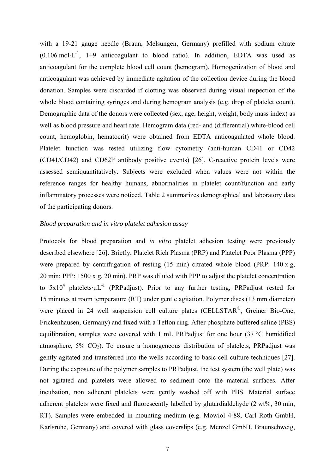with a 19-21 gauge needle (Braun, Melsungen, Germany) prefilled with sodium citrate  $(0.106 \text{ mol} \cdot \text{L}^{-1}$ , 1+9 anticoagulant to blood ratio). In addition, EDTA was used as anticoagulant for the complete blood cell count (hemogram). Homogenization of blood and anticoagulant was achieved by immediate agitation of the collection device during the blood donation. Samples were discarded if clotting was observed during visual inspection of the whole blood containing syringes and during hemogram analysis (e.g. drop of platelet count). Demographic data of the donors were collected (sex, age, height, weight, body mass index) as well as blood pressure and heart rate. Hemogram data (red- and (differential) white-blood cell count, hemoglobin, hematocrit) were obtained from EDTA anticoagulated whole blood. Platelet function was tested utilizing flow cytometry (anti-human CD41 or CD42 (CD41/CD42) and CD62P antibody positive events) [26]. C-reactive protein levels were assessed semiquantitatively. Subjects were excluded when values were not within the reference ranges for healthy humans, abnormalities in platelet count/function and early inflammatory processes were noticed. Table 2 summarizes demographical and laboratory data of the participating donors.

#### *Blood preparation and in vitro platelet adhesion assay*

Protocols for blood preparation and *in vitro* platelet adhesion testing were previously described elsewhere [26]. Briefly, Platelet Rich Plasma (PRP) and Platelet Poor Plasma (PPP) were prepared by centrifugation of resting (15 min) citrated whole blood (PRP: 140 x g, 20 min; PPP: 1500 x g, 20 min). PRP was diluted with PPP to adjust the platelet concentration to  $5x10^4$  platelets  $\mu L^{-1}$  (PRPadjust). Prior to any further testing, PRPadjust rested for 15 minutes at room temperature (RT) under gentle agitation. Polymer discs (13 mm diameter) were placed in 24 well suspension cell culture plates (CELLSTAR<sup>®</sup>, Greiner Bio-One, Frickenhausen, Germany) and fixed with a Teflon ring. After phosphate buffered saline (PBS) equilibration, samples were covered with 1 mL PRPadjust for one hour (37 °C humidified atmosphere,  $5\%$  CO<sub>2</sub>). To ensure a homogeneous distribution of platelets, PRPadjust was gently agitated and transferred into the wells according to basic cell culture techniques [27]. During the exposure of the polymer samples to PRPadjust, the test system (the well plate) was not agitated and platelets were allowed to sediment onto the material surfaces. After incubation, non adherent platelets were gently washed off with PBS. Material surface adherent platelets were fixed and fluorescently labelled by glutardialdehyde (2 wt%, 30 min, RT). Samples were embedded in mounting medium (e.g. Mowiol 4-88, Carl Roth GmbH, Karlsruhe, Germany) and covered with glass coverslips (e.g. Menzel GmbH, Braunschweig,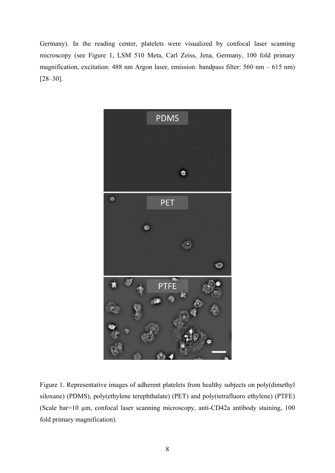Germany). In the reading center, platelets were visualized by confocal laser scanning microscopy (see Figure 1, LSM 510 Meta, Carl Zeiss, Jena, Germany, 100 fold primary magnification, excitation: 488 nm Argon laser, emission: bandpass filter: 560 nm – 615 nm) [28–30].



Figure 1. Representative images of adherent platelets from healthy subjects on poly(dimethyl siloxane) (PDMS), poly(ethylene terephthalate) (PET) and poly(tetrafluoro ethylene) (PTFE) (Scale bar=10 µm, confocal laser scanning microscopy, anti-CD42a antibody staining, 100 fold primary magnification).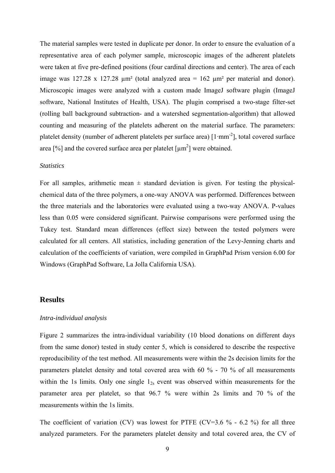The material samples were tested in duplicate per donor. In order to ensure the evaluation of a representative area of each polymer sample, microscopic images of the adherent platelets were taken at five pre-defined positions (four cardinal directions and center). The area of each image was 127.28 x 127.28  $\mu$ m<sup>2</sup> (total analyzed area = 162  $\mu$ m<sup>2</sup> per material and donor). Microscopic images were analyzed with a custom made ImageJ software plugin (ImageJ software, National Institutes of Health, USA). The plugin comprised a two-stage filter-set (rolling ball background subtraction- and a watershed segmentation-algorithm) that allowed counting and measuring of the platelets adherent on the material surface. The parameters: platelet density (number of adherent platelets per surface area) [1·mm<sup>-2</sup>], total covered surface area [%] and the covered surface area per platelet  $\left[\mu m^2\right]$  were obtained.

#### *Statistics*

For all samples, arithmetic mean  $\pm$  standard deviation is given. For testing the physicalchemical data of the three polymers, a one-way ANOVA was performed. Differences between the three materials and the laboratories were evaluated using a two-way ANOVA. P-values less than 0.05 were considered significant. Pairwise comparisons were performed using the Tukey test. Standard mean differences (effect size) between the tested polymers were calculated for all centers. All statistics, including generation of the Levy-Jenning charts and calculation of the coefficients of variation, were compiled in GraphPad Prism version 6.00 for Windows (GraphPad Software, La Jolla California USA).

#### **Results**

#### *Intra-individual analysis*

Figure 2 summarizes the intra-individual variability (10 blood donations on different days from the same donor) tested in study center 5, which is considered to describe the respective reproducibility of the test method. All measurements were within the 2s decision limits for the parameters platelet density and total covered area with 60 % - 70 % of all measurements within the 1s limits. Only one single  $1_{2s}$  event was observed within measurements for the parameter area per platelet, so that 96.7 % were within 2s limits and 70 % of the measurements within the 1s limits.

The coefficient of variation (CV) was lowest for PTFE (CV=3.6  $\%$  - 6.2  $\%$ ) for all three analyzed parameters. For the parameters platelet density and total covered area, the CV of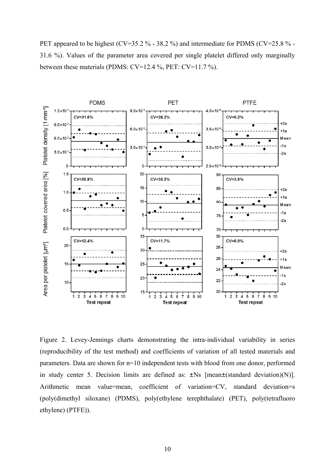PET appeared to be highest (CV=35.2 % - 38.2 %) and intermediate for PDMS (CV=25.8 % -31.6 %). Values of the parameter area covered per single platelet differed only marginally between these materials (PDMS: CV=12.4 %, PET: CV=11.7 %).



Figure 2. Levey-Jennings charts demonstrating the intra-individual variability in series (reproducibility of the test method) and coefficients of variation of all tested materials and parameters. Data are shown for n=10 independent tests with blood from one donor, performed in study center 5. Decision limits are defined as:  $\pm$ Ns [mean $\pm$ (standard deviation)(N)]. Arithmetic mean value=mean, coefficient of variation=CV, standard deviation=s (poly(dimethyl siloxane) (PDMS), poly(ethylene terephthalate) (PET), poly(tetrafluoro ethylene) (PTFE)).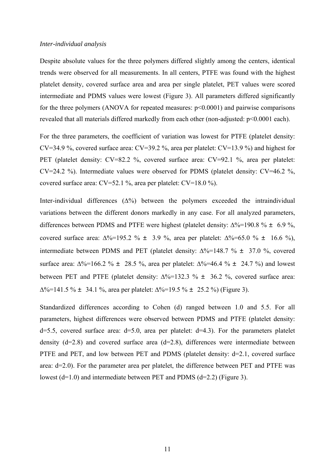#### *Inter-individual analysis*

Despite absolute values for the three polymers differed slightly among the centers, identical trends were observed for all measurements. In all centers, PTFE was found with the highest platelet density, covered surface area and area per single platelet, PET values were scored intermediate and PDMS values were lowest (Figure 3). All parameters differed significantly for the three polymers (ANOVA for repeated measures:  $p \le 0.0001$ ) and pairwise comparisons revealed that all materials differed markedly from each other (non-adjusted: p<0.0001 each).

For the three parameters, the coefficient of variation was lowest for PTFE (platelet density: CV=34.9 %, covered surface area: CV=39.2 %, area per platelet: CV=13.9 %) and highest for PET (platelet density: CV=82.2 %, covered surface area: CV=92.1 %, area per platelet: CV=24.2 %). Intermediate values were observed for PDMS (platelet density: CV=46.2 %, covered surface area: CV=52.1 %, area per platelet: CV=18.0 %).

Inter-individual differences  $(\Delta\%)$  between the polymers exceeded the intraindividual variations between the different donors markedly in any case. For all analyzed parameters, differences between PDMS and PTFE were highest (platelet density:  $\Delta\% = 190.8 \% \pm 6.9 \%$ , covered surface area:  $\Delta\% = 195.2 \% \pm 3.9 \%$ , area per platelet:  $\Delta\% = 65.0 \% \pm 16.6 \%$ ), intermediate between PDMS and PET (platelet density:  $\Delta\% = 148.7 \% \pm 37.0 \%$ , covered surface area:  $\Delta\% = 166.2 \% \pm 28.5 \%$ , area per platelet:  $\Delta\% = 46.4 \% \pm 24.7 \%$  and lowest between PET and PTFE (platelet density:  $\Delta\%$ =132.3 %  $\pm$  36.2 %, covered surface area:  $\Delta\%$ =141.5 % ± 34.1 %, area per platelet:  $\Delta\%$ =19.5 % ± 25.2 %) (Figure 3).

Standardized differences according to Cohen (d) ranged between 1.0 and 5.5. For all parameters, highest differences were observed between PDMS and PTFE (platelet density:  $d=5.5$ , covered surface area:  $d=5.0$ , area per platelet:  $d=4.3$ ). For the parameters platelet density  $(d=2.8)$  and covered surface area  $(d=2.8)$ , differences were intermediate between PTFE and PET, and low between PET and PDMS (platelet density: d=2.1, covered surface area: d=2.0). For the parameter area per platelet, the difference between PET and PTFE was lowest (d=1.0) and intermediate between PET and PDMS (d=2.2) (Figure 3).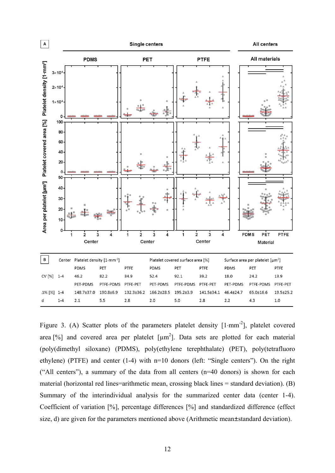

Figure 3. (A) Scatter plots of the parameters platelet density  $[1 \cdot mm^{-2}]$ , platelet covered area [%] and covered area per platelet  $[\mu m^2]$ . Data sets are plotted for each material (poly(dimethyl siloxane) (PDMS), poly(ethylene terephthalate) (PET), poly(tetrafluoro ethylene) (PTFE) and center (1-4) with n=10 donors (left: "Single centers"). On the right ("All centers"), a summary of the data from all centers (n=40 donors) is shown for each material (horizontal red lines=arithmetic mean, crossing black lines = standard deviation). (B) Summary of the interindividual analysis for the summarized center data (center 1-4). Coefficient of variation [%], percentage differences [%] and standardized difference (effect size, d) are given for the parameters mentioned above (Arithmetic mean±standard deviation).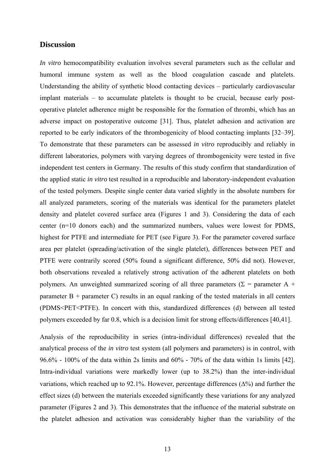## **Discussion**

*In vitro* hemocompatibility evaluation involves several parameters such as the cellular and humoral immune system as well as the blood coagulation cascade and platelets. Understanding the ability of synthetic blood contacting devices – particularly cardiovascular implant materials – to accumulate platelets is thought to be crucial, because early postoperative platelet adherence might be responsible for the formation of thrombi, which has an adverse impact on postoperative outcome [31]. Thus, platelet adhesion and activation are reported to be early indicators of the thrombogenicity of blood contacting implants [32–39]. To demonstrate that these parameters can be assessed *in vitro* reproducibly and reliably in different laboratories, polymers with varying degrees of thrombogenicity were tested in five independent test centers in Germany. The results of this study confirm that standardization of the applied static *in vitro* test resulted in a reproducible and laboratory-independent evaluation of the tested polymers. Despite single center data varied slightly in the absolute numbers for all analyzed parameters, scoring of the materials was identical for the parameters platelet density and platelet covered surface area (Figures 1 and 3). Considering the data of each center (n=10 donors each) and the summarized numbers, values were lowest for PDMS, highest for PTFE and intermediate for PET (see Figure 3). For the parameter covered surface area per platelet (spreading/activation of the single platelet), differences between PET and PTFE were contrarily scored (50% found a significant difference, 50% did not). However, both observations revealed a relatively strong activation of the adherent platelets on both polymers. An unweighted summarized scoring of all three parameters ( $\Sigma$  = parameter A + parameter  $B +$  parameter C) results in an equal ranking of the tested materials in all centers (PDMS<PET<PTFE). In concert with this, standardized differences (d) between all tested polymers exceeded by far 0.8, which is a decision limit for strong effects/differences [40,41].

Analysis of the reproducibility in series (intra-individual differences) revealed that the analytical process of the *in vitro* test system (all polymers and parameters) is in control, with 96.6% - 100% of the data within 2s limits and 60% - 70% of the data within 1s limits [42]. Intra-individual variations were markedly lower (up to 38.2%) than the inter-individual variations, which reached up to 92.1%. However, percentage differences  $(\Delta\%)$  and further the effect sizes (d) between the materials exceeded significantly these variations for any analyzed parameter (Figures 2 and 3). This demonstrates that the influence of the material substrate on the platelet adhesion and activation was considerably higher than the variability of the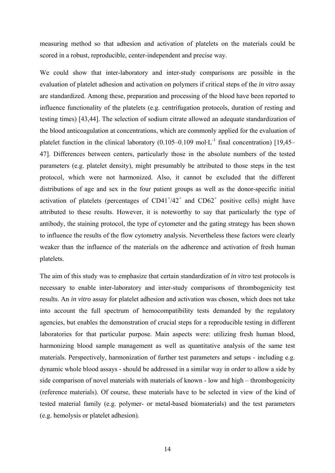measuring method so that adhesion and activation of platelets on the materials could be scored in a robust, reproducible, center-independent and precise way.

We could show that inter-laboratory and inter-study comparisons are possible in the evaluation of platelet adhesion and activation on polymers if critical steps of the *in vitro* assay are standardized. Among these, preparation and processing of the blood have been reported to influence functionality of the platelets (e.g. centrifugation protocols, duration of resting and testing times) [43,44]. The selection of sodium citrate allowed an adequate standardization of the blood anticoagulation at concentrations, which are commonly applied for the evaluation of platelet function in the clinical laboratory (0.105–0.109 mol $\cdot L^{-1}$  final concentration) [19.45– 47]. Differences between centers, particularly those in the absolute numbers of the tested parameters (e.g. platelet density), might presumably be attributed to those steps in the test protocol, which were not harmonized. Also, it cannot be excluded that the different distributions of age and sex in the four patient groups as well as the donor-specific initial activation of platelets (percentages of  $CD41<sup>+/42<sup>+</sup></sup>$  and  $CD62<sup>+</sup>$  positive cells) might have attributed to these results. However, it is noteworthy to say that particularly the type of antibody, the staining protocol, the type of cytometer and the gating strategy has been shown to influence the results of the flow cytometry analysis. Nevertheless these factors were clearly weaker than the influence of the materials on the adherence and activation of fresh human platelets.

The aim of this study was to emphasize that certain standardization of *in vitro* test protocols is necessary to enable inter-laboratory and inter-study comparisons of thrombogenicity test results. An *in vitro* assay for platelet adhesion and activation was chosen, which does not take into account the full spectrum of hemocompatibility tests demanded by the regulatory agencies, but enables the demonstration of crucial steps for a reproducible testing in different laboratories for that particular purpose. Main aspects were: utilizing fresh human blood, harmonizing blood sample management as well as quantitative analysis of the same test materials. Perspectively, harmonization of further test parameters and setups - including e.g. dynamic whole blood assays - should be addressed in a similar way in order to allow a side by side comparison of novel materials with materials of known - low and high – thrombogenicity (reference materials). Of course, these materials have to be selected in view of the kind of tested material family (e.g. polymer- or metal-based biomaterials) and the test parameters (e.g. hemolysis or platelet adhesion).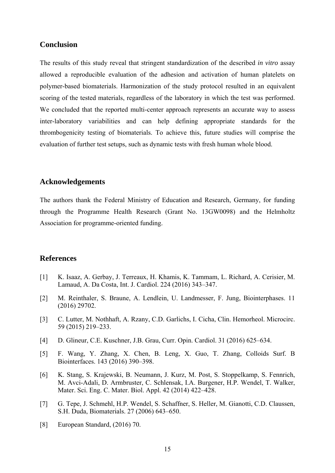## **Conclusion**

The results of this study reveal that stringent standardization of the described *in vitro* assay allowed a reproducible evaluation of the adhesion and activation of human platelets on polymer-based biomaterials. Harmonization of the study protocol resulted in an equivalent scoring of the tested materials, regardless of the laboratory in which the test was performed. We concluded that the reported multi-center approach represents an accurate way to assess inter-laboratory variabilities and can help defining appropriate standards for the thrombogenicity testing of biomaterials. To achieve this, future studies will comprise the evaluation of further test setups, such as dynamic tests with fresh human whole blood.

## **Acknowledgements**

The authors thank the Federal Ministry of Education and Research, Germany, for funding through the Programme Health Research (Grant No. 13GW0098) and the Helmholtz Association for programme-oriented funding.

#### **References**

- [1] K. Isaaz, A. Gerbay, J. Terreaux, H. Khamis, K. Tammam, L. Richard, A. Cerisier, M. Lamaud, A. Da Costa, Int. J. Cardiol. 224 (2016) 343–347.
- [2] M. Reinthaler, S. Braune, A. Lendlein, U. Landmesser, F. Jung, Biointerphases. 11 (2016) 29702.
- [3] C. Lutter, M. Nothhaft, A. Rzany, C.D. Garlichs, I. Cicha, Clin. Hemorheol. Microcirc. 59 (2015) 219–233.
- [4] D. Glineur, C.E. Kuschner, J.B. Grau, Curr. Opin. Cardiol. 31 (2016) 625–634.
- [5] F. Wang, Y. Zhang, X. Chen, B. Leng, X. Guo, T. Zhang, Colloids Surf. B Biointerfaces. 143 (2016) 390–398.
- [6] K. Stang, S. Krajewski, B. Neumann, J. Kurz, M. Post, S. Stoppelkamp, S. Fennrich, M. Avci-Adali, D. Armbruster, C. Schlensak, I.A. Burgener, H.P. Wendel, T. Walker, Mater. Sci. Eng. C. Mater. Biol. Appl. 42 (2014) 422–428.
- [7] G. Tepe, J. Schmehl, H.P. Wendel, S. Schaffner, S. Heller, M. Gianotti, C.D. Claussen, S.H. Duda, Biomaterials. 27 (2006) 643–650.
- [8] European Standard, (2016) 70.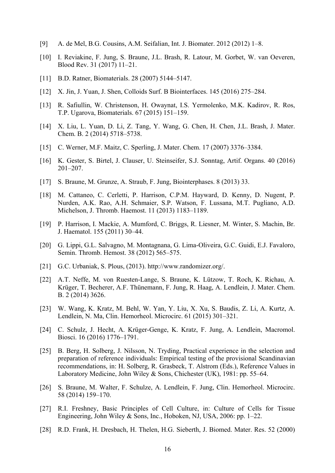- [9] A. de Mel, B.G. Cousins, A.M. Seifalian, Int. J. Biomater. 2012 (2012) 1–8.
- [10] I. Reviakine, F. Jung, S. Braune, J.L. Brash, R. Latour, M. Gorbet, W. van Oeveren, Blood Rev. 31 (2017) 11–21.
- [11] B.D. Ratner, Biomaterials. 28 (2007) 5144–5147.
- [12] X. Jin, J. Yuan, J. Shen, Colloids Surf. B Biointerfaces. 145 (2016) 275–284.
- [13] R. Safiullin, W. Christenson, H. Owaynat, I.S. Yermolenko, M.K. Kadirov, R. Ros, T.P. Ugarova, Biomaterials. 67 (2015) 151–159.
- [14] X. Liu, L. Yuan, D. Li, Z. Tang, Y. Wang, G. Chen, H. Chen, J.L. Brash, J. Mater. Chem. B. 2 (2014) 5718–5738.
- [15] C. Werner, M.F. Maitz, C. Sperling, J. Mater. Chem. 17 (2007) 3376–3384.
- [16] K. Gester, S. Birtel, J. Clauser, U. Steinseifer, S.J. Sonntag, Artif. Organs. 40 (2016) 201–207.
- [17] S. Braune, M. Grunze, A. Straub, F. Jung, Biointerphases. 8 (2013) 33.
- [18] M. Cattaneo, C. Cerletti, P. Harrison, C.P.M. Hayward, D. Kenny, D. Nugent, P. Nurden, A.K. Rao, A.H. Schmaier, S.P. Watson, F. Lussana, M.T. Pugliano, A.D. Michelson, J. Thromb. Haemost. 11 (2013) 1183–1189.
- [19] P. Harrison, I. Mackie, A. Mumford, C. Briggs, R. Liesner, M. Winter, S. Machin, Br. J. Haematol. 155 (2011) 30–44.
- [20] G. Lippi, G.L. Salvagno, M. Montagnana, G. Lima-Oliveira, G.C. Guidi, E.J. Favaloro, Semin. Thromb. Hemost. 38 (2012) 565–575.
- [21] G.C. Urbaniak, S. Plous, (2013). http://www.randomizer.org/.
- [22] A.T. Neffe, M. von Ruesten-Lange, S. Braune, K. Lützow, T. Roch, K. Richau, A. Krüger, T. Becherer, A.F. Thünemann, F. Jung, R. Haag, A. Lendlein, J. Mater. Chem. B. 2 (2014) 3626.
- [23] W. Wang, K. Kratz, M. Behl, W. Yan, Y. Liu, X. Xu, S. Baudis, Z. Li, A. Kurtz, A. Lendlein, N. Ma, Clin. Hemorheol. Microcirc. 61 (2015) 301–321.
- [24] C. Schulz, J. Hecht, A. Krüger-Genge, K. Kratz, F. Jung, A. Lendlein, Macromol. Biosci. 16 (2016) 1776–1791.
- [25] B. Berg, H. Solberg, J. Nilsson, N. Tryding, Practical experience in the selection and preparation of reference individuals: Empirical testing of the provisional Scandinavian recommendations, in: H. Solberg, R. Grasbeck, T. Alstrom (Eds.), Reference Values in Laboratory Medicine, John Wiley & Sons, Chichester (UK), 1981: pp. 55–64.
- [26] S. Braune, M. Walter, F. Schulze, A. Lendlein, F. Jung, Clin. Hemorheol. Microcirc. 58 (2014) 159–170.
- [27] R.I. Freshney, Basic Principles of Cell Culture, in: Culture of Cells for Tissue Engineering, John Wiley & Sons, Inc., Hoboken, NJ, USA, 2006: pp. 1–22.
- [28] R.D. Frank, H. Dresbach, H. Thelen, H.G. Sieberth, J. Biomed. Mater. Res. 52 (2000)